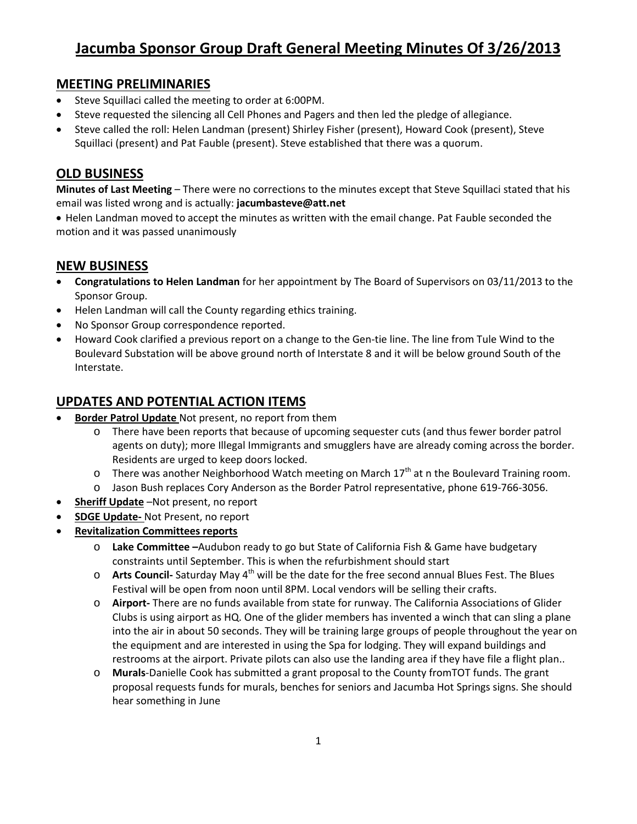# **Jacumba Sponsor Group Draft General Meeting Minutes Of 3/26/2013**

#### **MEETING PRELIMINARIES**

- Steve Squillaci called the meeting to order at 6:00PM.
- Steve requested the silencing all Cell Phones and Pagers and then led the pledge of allegiance.
- Steve called the roll: Helen Landman (present) Shirley Fisher (present), Howard Cook (present), Steve Squillaci (present) and Pat Fauble (present). Steve established that there was a quorum.

### **OLD BUSINESS**

**Minutes of Last Meeting** – There were no corrections to the minutes except that Steve Squillaci stated that his email was listed wrong and is actually: **jacumbasteve@att.net**

• Helen Landman moved to accept the minutes as written with the email change. Pat Fauble seconded the motion and it was passed unanimously

### **NEW BUSINESS**

- **Congratulations to Helen Landman** for her appointment by The Board of Supervisors on 03/11/2013 to the Sponsor Group.
- Helen Landman will call the County regarding ethics training.
- No Sponsor Group correspondence reported.
- Howard Cook clarified a previous report on a change to the Gen-tie line. The line from Tule Wind to the Boulevard Substation will be above ground north of Interstate 8 and it will be below ground South of the Interstate.

### **UPDATES AND POTENTIAL ACTION ITEMS**

- **Border Patrol Update** Not present, no report from them
	- o There have been reports that because of upcoming sequester cuts (and thus fewer border patrol agents on duty); more Illegal Immigrants and smugglers have are already coming across the border. Residents are urged to keep doors locked.
	- $\circ$  There was another Neighborhood Watch meeting on March 17<sup>th</sup> at n the Boulevard Training room.
	- o Jason Bush replaces Cory Anderson as the Border Patrol representative, phone 619-766-3056.
- **Sheriff Update** –Not present, no report
- **SDGE Update-** Not Present, no report
- **Revitalization Committees reports**
	- o **Lake Committee –**Audubon ready to go but State of California Fish & Game have budgetary constraints until September. This is when the refurbishment should start
	- o **Arts Council-** Saturday May 4<sup>th</sup> will be the date for the free second annual Blues Fest. The Blues Festival will be open from noon until 8PM. Local vendors will be selling their crafts.
	- o **Airport-** There are no funds available from state for runway. The California Associations of Glider Clubs is using airport as HQ. One of the glider members has invented a winch that can sling a plane into the air in about 50 seconds. They will be training large groups of people throughout the year on the equipment and are interested in using the Spa for lodging. They will expand buildings and restrooms at the airport. Private pilots can also use the landing area if they have file a flight plan..
	- o **Murals**-Danielle Cook has submitted a grant proposal to the County fromTOT funds. The grant proposal requests funds for murals, benches for seniors and Jacumba Hot Springs signs. She should hear something in June